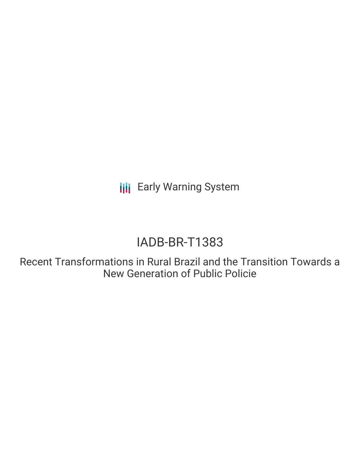**III** Early Warning System

# IADB-BR-T1383

Recent Transformations in Rural Brazil and the Transition Towards a New Generation of Public Policie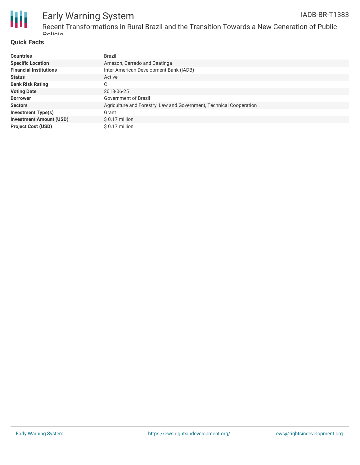

#### Early Warning System Recent Transformations in Rural Brazil and the Transition Towards a New Generation of Public IADB-BR-T1383

### **Quick Facts**

*<u>Dolicie</u>* 

| <b>Countries</b>               | <b>Brazil</b>                                                       |
|--------------------------------|---------------------------------------------------------------------|
| <b>Specific Location</b>       | Amazon, Cerrado and Caatinga                                        |
| <b>Financial Institutions</b>  | Inter-American Development Bank (IADB)                              |
| <b>Status</b>                  | Active                                                              |
| <b>Bank Risk Rating</b>        | $\sim$<br>U                                                         |
| <b>Voting Date</b>             | 2018-06-25                                                          |
| <b>Borrower</b>                | Government of Brazil                                                |
| <b>Sectors</b>                 | Agriculture and Forestry, Law and Government, Technical Cooperation |
| <b>Investment Type(s)</b>      | Grant                                                               |
| <b>Investment Amount (USD)</b> | $$0.17$ million                                                     |
| <b>Project Cost (USD)</b>      | $$0.17$ million                                                     |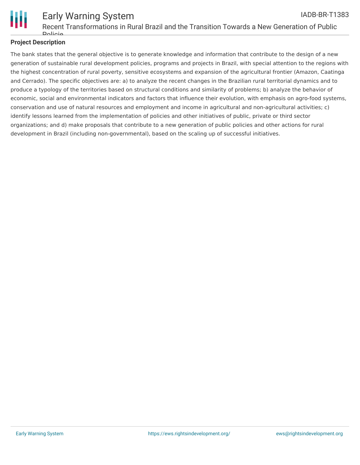

# **Project Description**

The bank states that the general objective is to generate knowledge and information that contribute to the design of a new generation of sustainable rural development policies, programs and projects in Brazil, with special attention to the regions with the highest concentration of rural poverty, sensitive ecosystems and expansion of the agricultural frontier (Amazon, Caatinga and Cerrado). The specific objectives are: a) to analyze the recent changes in the Brazilian rural territorial dynamics and to produce a typology of the territories based on structural conditions and similarity of problems; b) analyze the behavior of economic, social and environmental indicators and factors that influence their evolution, with emphasis on agro-food systems, conservation and use of natural resources and employment and income in agricultural and non-agricultural activities; c) identify lessons learned from the implementation of policies and other initiatives of public, private or third sector organizations; and d) make proposals that contribute to a new generation of public policies and other actions for rural development in Brazil (including non-governmental), based on the scaling up of successful initiatives.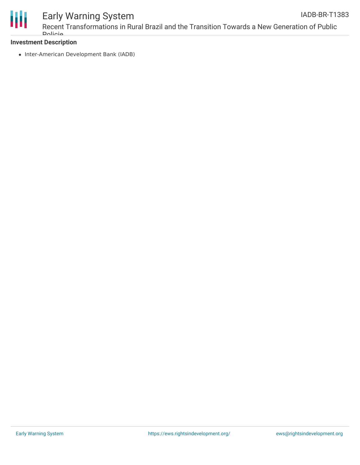

# Early Warning System

# **Investment Description**

**Policie** 

• Inter-American Development Bank (IADB)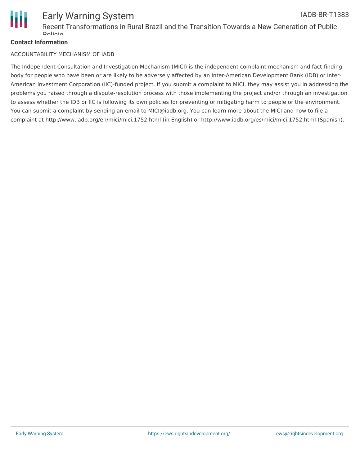

### **Contact Information**

### ACCOUNTABILITY MECHANISM OF IADB

The Independent Consultation and Investigation Mechanism (MICI) is the independent complaint mechanism and fact-finding body for people who have been or are likely to be adversely affected by an Inter-American Development Bank (IDB) or Inter-American Investment Corporation (IIC)-funded project. If you submit a complaint to MICI, they may assist you in addressing the problems you raised through a dispute-resolution process with those implementing the project and/or through an investigation to assess whether the IDB or IIC is following its own policies for preventing or mitigating harm to people or the environment. You can submit a complaint by sending an email to MICI@iadb.org. You can learn more about the MICI and how to file a complaint at http://www.iadb.org/en/mici/mici,1752.html (in English) or http://www.iadb.org/es/mici/mici,1752.html (Spanish).